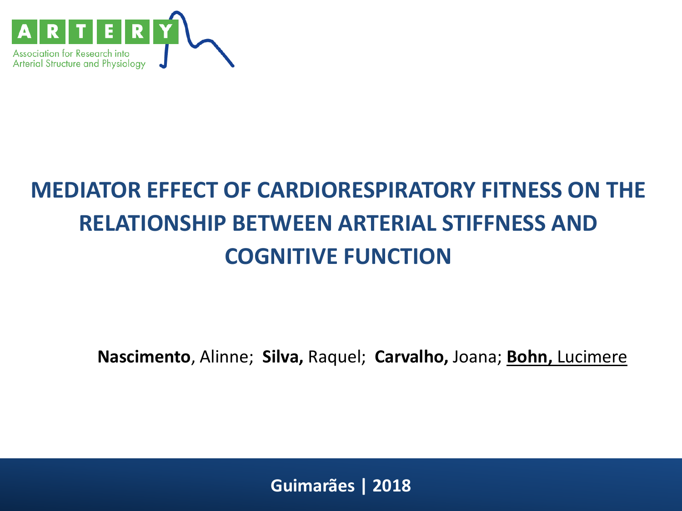

### **MEDIATOR EFFECT OF CARDIORESPIRATORY FITNESS ON THE RELATIONSHIP BETWEEN ARTERIAL STIFFNESS AND COGNITIVE FUNCTION**

**Nascimento**, Alinne; **Silva,** Raquel; **Carvalho,** Joana; **Bohn,** Lucimere

**Guimarães | 2018**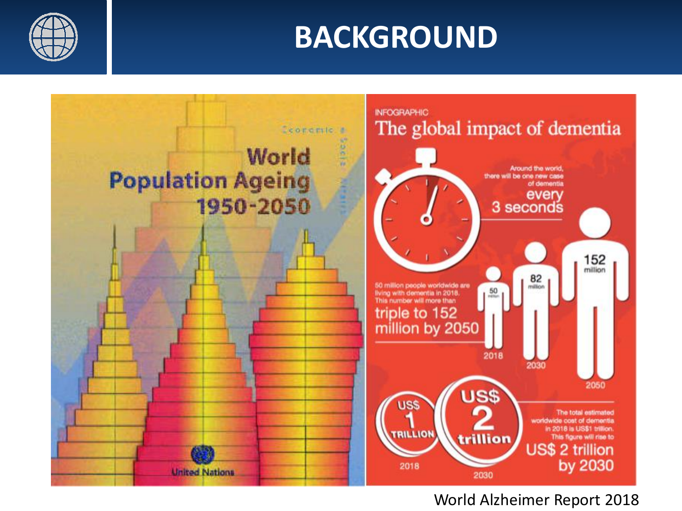



#### World Alzheimer Report 2018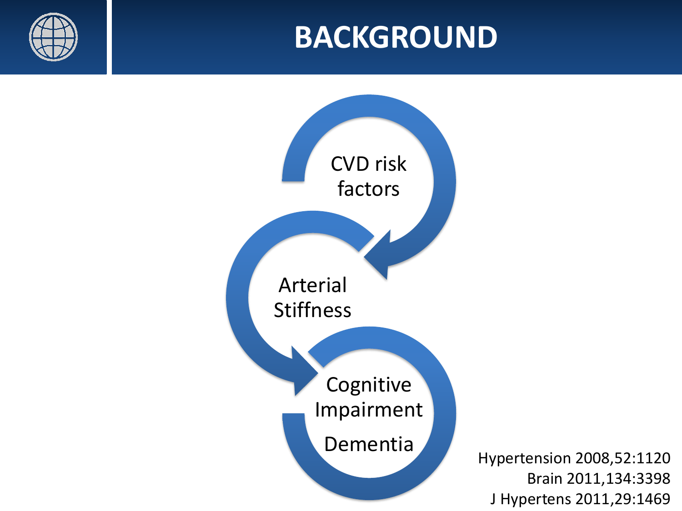



Hypertension 2008,52:1120 Brain 2011,134:3398 J Hypertens 2011,29:1469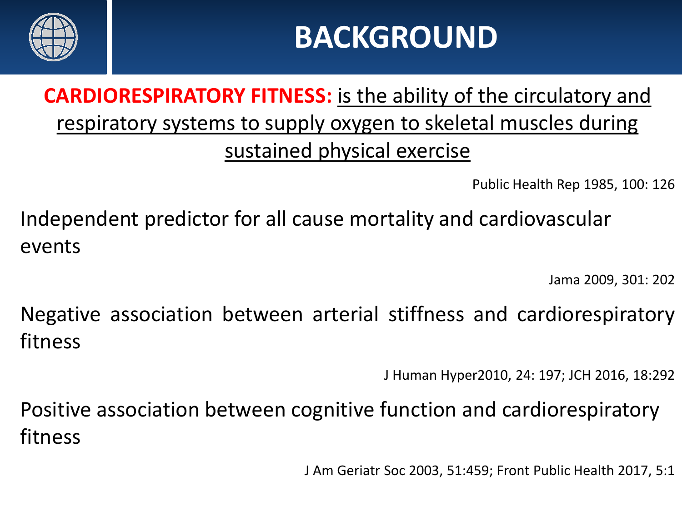

### **CARDIORESPIRATORY FITNESS:** is the ability of the circulatory and respiratory systems to supply oxygen to skeletal muscles during sustained physical exercise

Public Health Rep 1985, 100: 126

Independent predictor for all cause mortality and cardiovascular events

Jama 2009, 301: 202

Negative association between arterial stiffness and cardiorespiratory fitness

J Human Hyper2010, 24: 197; JCH 2016, 18:292

Positive association between cognitive function and cardiorespiratory fitness

J Am Geriatr Soc 2003, 51:459; Front Public Health 2017, 5:1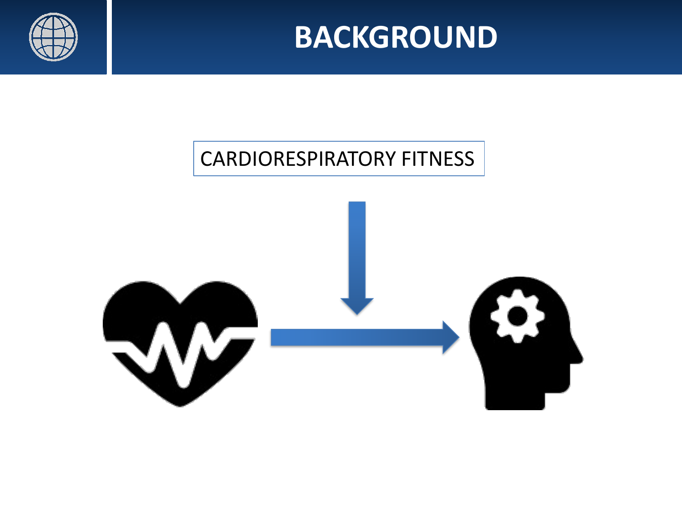

#### CARDIORESPIRATORY FITNESS

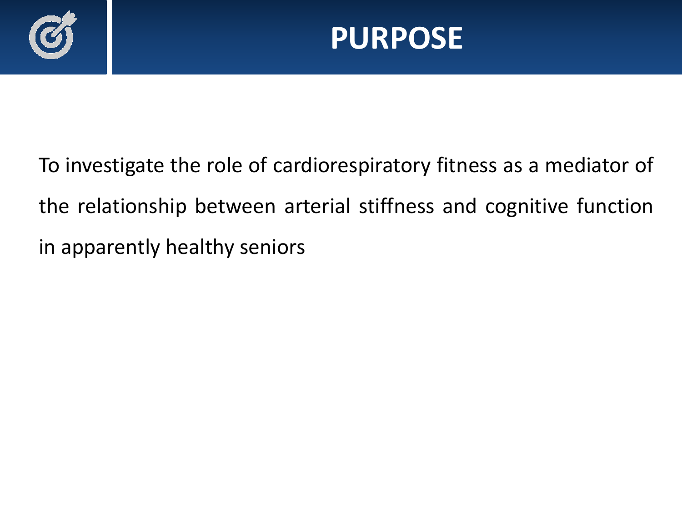

To investigate the role of cardiorespiratory fitness as a mediator of the relationship between arterial stiffness and cognitive function in apparently healthy seniors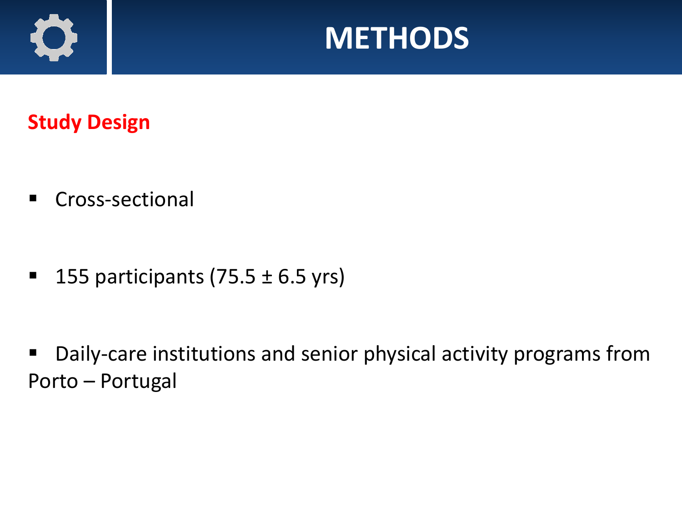



**Study Design**

▪ Cross-sectional

■ 155 participants  $(75.5 \pm 6.5 \text{ yrs})$ 

Daily-care institutions and senior physical activity programs from Porto – Portugal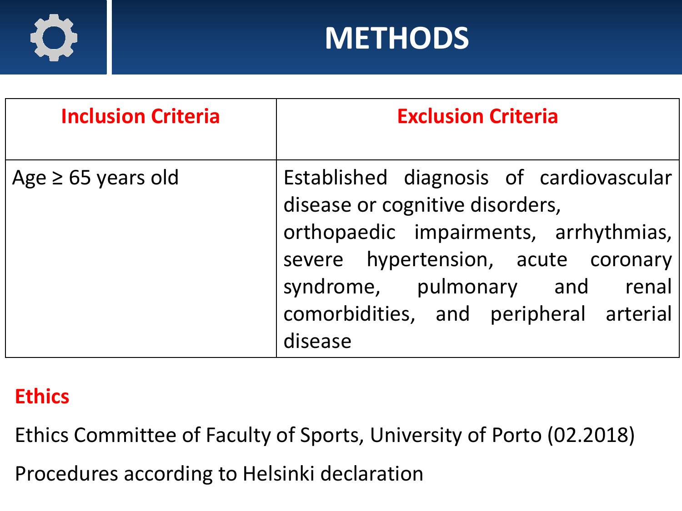

### **METHODS**

| <b>Inclusion Criteria</b> | <b>Exclusion Criteria</b>                                                                                                                                                                                                                        |  |  |
|---------------------------|--------------------------------------------------------------------------------------------------------------------------------------------------------------------------------------------------------------------------------------------------|--|--|
| Age $\geq 65$ years old   | Established diagnosis of cardiovascular<br>disease or cognitive disorders,<br>orthopaedic impairments, arrhythmias,<br>severe hypertension, acute coronary<br>syndrome, pulmonary and renal<br>comorbidities, and peripheral arterial<br>disease |  |  |

#### **Ethics**

Ethics Committee of Faculty of Sports, University of Porto (02.2018)

Procedures according to Helsinki declaration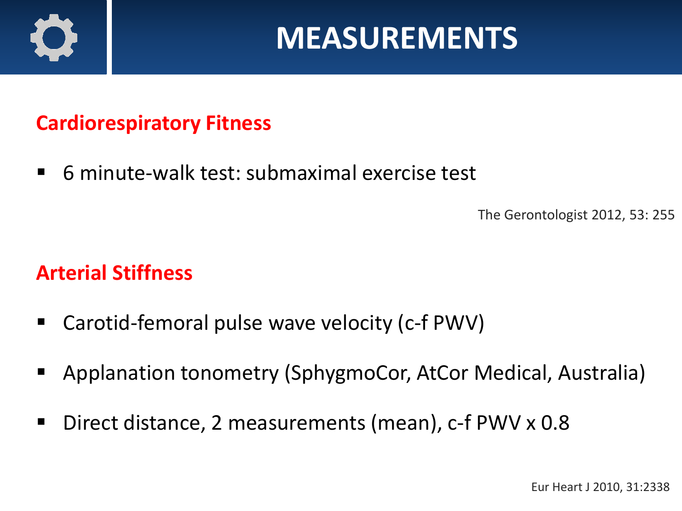

### **MEASUREMENTS**

#### **Cardiorespiratory Fitness**

■ 6 minute-walk test: submaximal exercise test

The Gerontologist 2012, 53: 255

#### **Arterial Stiffness**

- Carotid-femoral pulse wave velocity (c-f PWV)
- Applanation tonometry (SphygmoCor, AtCor Medical, Australia)
- Direct distance, 2 measurements (mean), c-f PWV x 0.8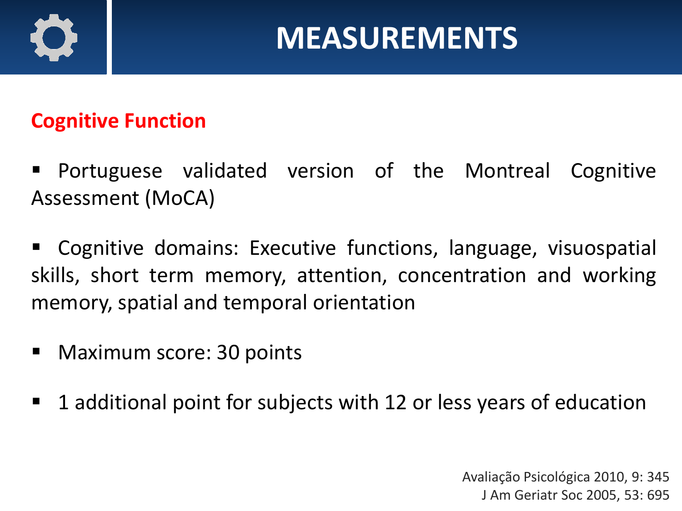

### **MEASUREMENTS**

#### **Cognitive Function**

- Portuguese validated version of the Montreal Cognitive Assessment (MoCA)
- Cognitive domains: Executive functions, language, visuospatial skills, short term memory, attention, concentration and working memory, spatial and temporal orientation
- Maximum score: 30 points
- 1 additional point for subjects with 12 or less years of education

Avaliação Psicológica 2010, 9: 345 J Am Geriatr Soc 2005, 53: 695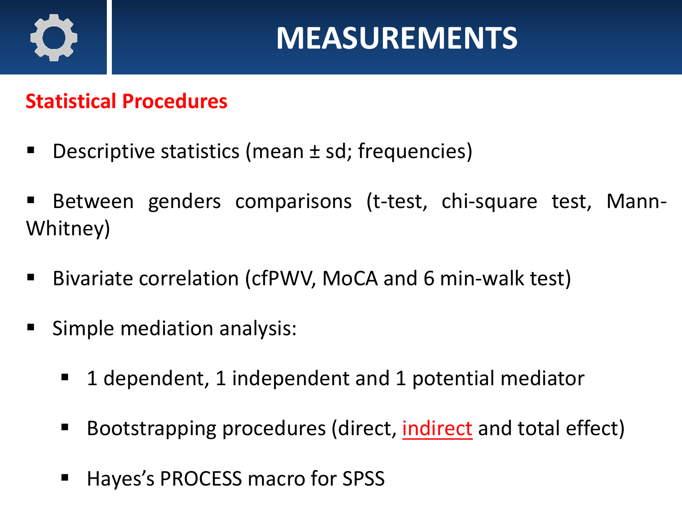

#### **Statistical Procedures**

- Descriptive statistics (mean  $\pm$  sd; frequencies)
- Between genders comparisons (t-test, chi-square test, Mann-Whitney)
- Bivariate correlation (cfPWV, MoCA and 6 min-walk test)
- Simple mediation analysis:
	- 1 dependent, 1 independent and 1 potential mediator
	- Bootstrapping procedures (direct, *indirect* and total effect)
	- Hayes's PROCESS macro for SPSS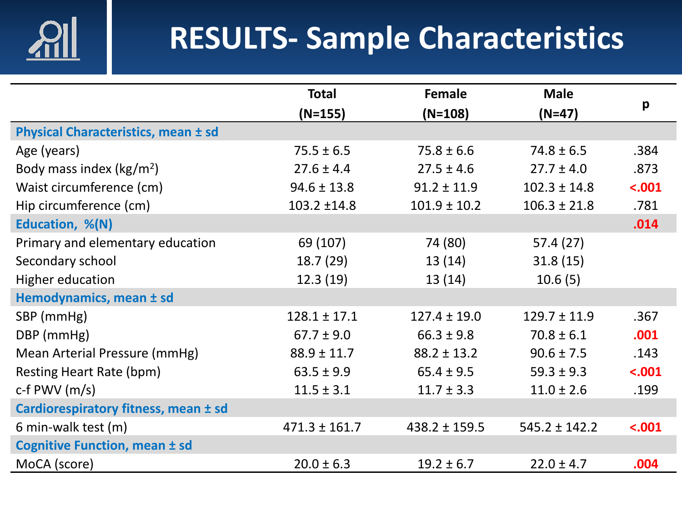

## **RESULTS- Sample Characteristics**

|                                            | <b>Total</b>      | Female            | <b>Male</b>       |         |
|--------------------------------------------|-------------------|-------------------|-------------------|---------|
|                                            | $(N=155)$         | $(N=108)$         | $(N=47)$          | p       |
| <b>Physical Characteristics, mean ± sd</b> |                   |                   |                   |         |
| Age (years)                                | $75.5 \pm 6.5$    | $75.8 \pm 6.6$    | $74.8 \pm 6.5$    | .384    |
| Body mass index ( $\text{kg/m}^2$ )        | $27.6 \pm 4.4$    | $27.5 \pm 4.6$    | $27.7 \pm 4.0$    | .873    |
| Waist circumference (cm)                   | $94.6 \pm 13.8$   | $91.2 \pm 11.9$   | $102.3 \pm 14.8$  | $-.001$ |
| Hip circumference (cm)                     | 103.2 ±14.8       | $101.9 \pm 10.2$  | $106.3 \pm 21.8$  | .781    |
| Education, %(N)                            |                   |                   |                   | .014    |
| Primary and elementary education           | 69 (107)          | 74 (80)           | 57.4(27)          |         |
| Secondary school                           | 18.7(29)          | 13(14)            | 31.8(15)          |         |
| <b>Higher education</b>                    | 12.3(19)          | 13(14)            | 10.6(5)           |         |
| Hemodynamics, mean ± sd                    |                   |                   |                   |         |
| SBP (mmHg)                                 | $128.1 \pm 17.1$  | $127.4 \pm 19.0$  | $129.7 \pm 11.9$  | .367    |
| DBP (mmHg)                                 | $67.7 \pm 9.0$    | $66.3 \pm 9.8$    | $70.8 \pm 6.1$    | .001    |
| Mean Arterial Pressure (mmHg)              | $88.9 \pm 11.7$   | $88.2 \pm 13.2$   | $90.6 \pm 7.5$    | .143    |
| <b>Resting Heart Rate (bpm)</b>            | $63.5 \pm 9.9$    | $65.4 \pm 9.5$    | $59.3 \pm 9.3$    | $-.001$ |
| c-f PWV $(m/s)$                            | $11.5 \pm 3.1$    | $11.7 \pm 3.3$    | $11.0 \pm 2.6$    | .199    |
| Cardiorespiratory fitness, mean ± sd       |                   |                   |                   |         |
| 6 min-walk test (m)                        | $471.3 \pm 161.7$ | $438.2 \pm 159.5$ | $545.2 \pm 142.2$ | $-.001$ |
| <b>Cognitive Function, mean ± sd</b>       |                   |                   |                   |         |
| MoCA (score)                               | $20.0 \pm 6.3$    | $19.2 \pm 6.7$    | $22.0 \pm 4.7$    | .004    |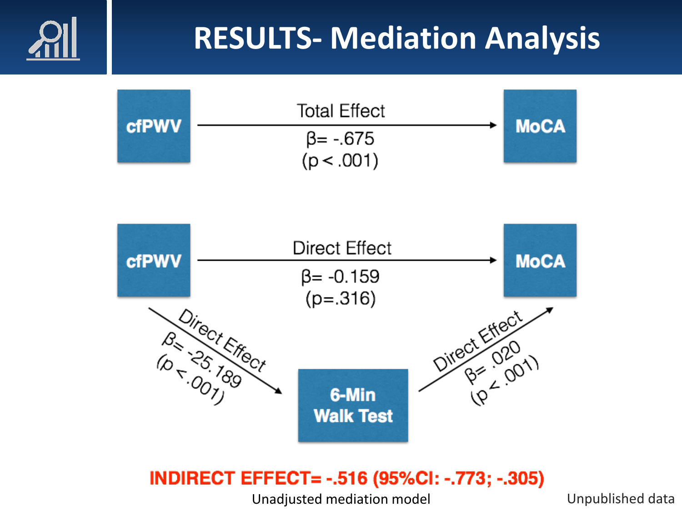## **RESULTS- Mediation Analysis**





#### **INDIRECT EFFECT= -.516 (95%CI: -.773; -.305)**

Unadjusted mediation model Unpublished data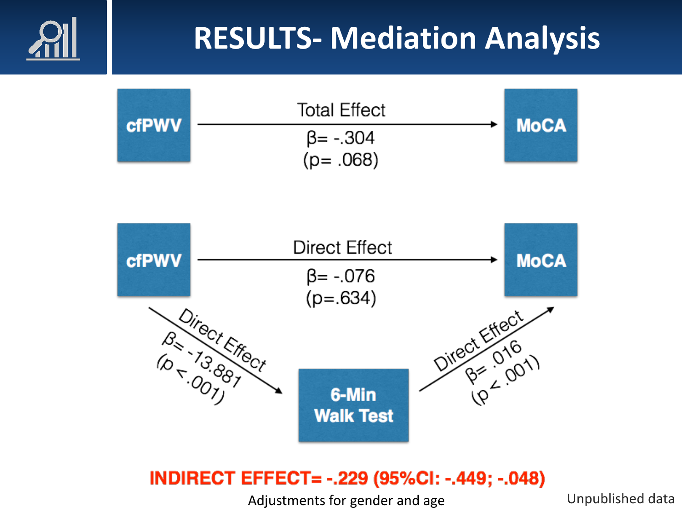## **RESULTS- Mediation Analysis**





#### **INDIRECT EFFECT= -.229 (95%CI: -.449; -.048)**

Adjustments for gender and age Theorem Compublished data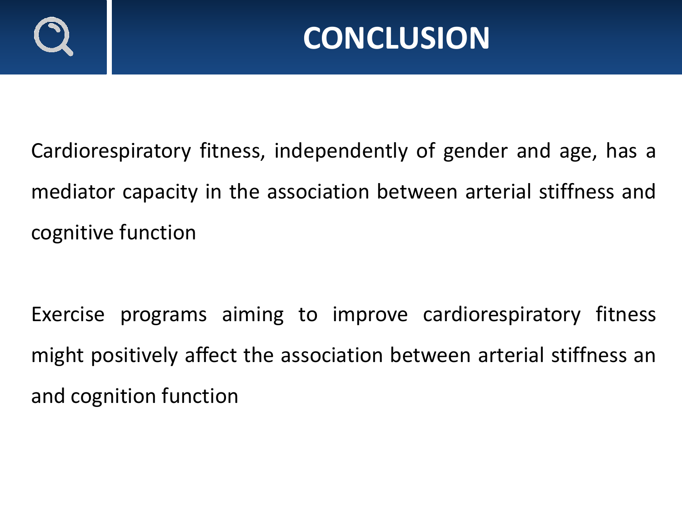

Cardiorespiratory fitness, independently of gender and age, has a mediator capacity in the association between arterial stiffness and cognitive function

Exercise programs aiming to improve cardiorespiratory fitness might positively affect the association between arterial stiffness an and cognition function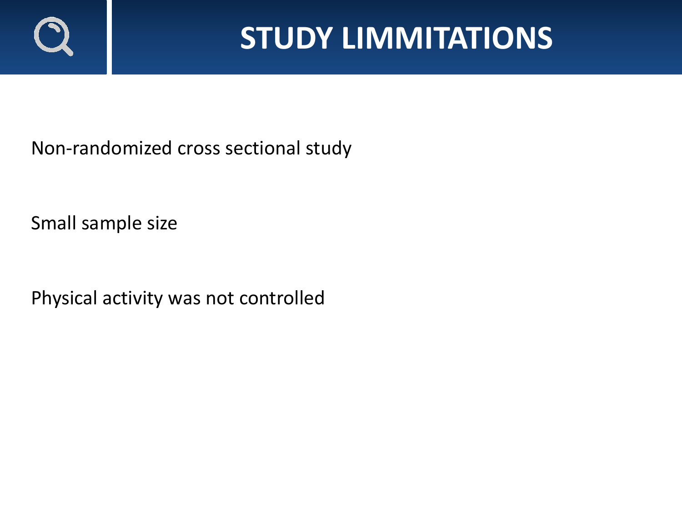

### **STUDY LIMMITATIONS**

Non-randomized cross sectional study

Small sample size

Physical activity was not controlled